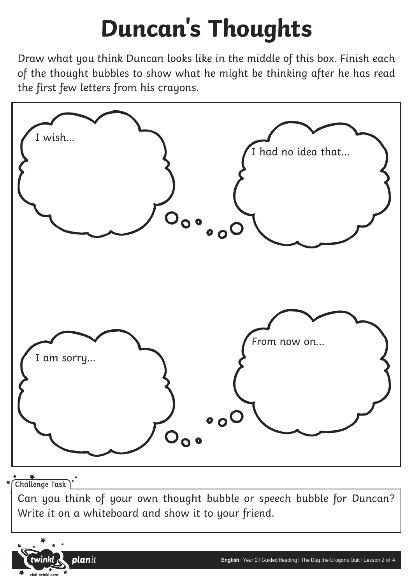## **Duncan's Thoughts**

Draw what you think Duncan looks like in the middle of this box. Finish each of the thought bubbles to show what he might be thinking after he has read the first few letters from his crayons.



**Challenge Task**

Can you think of your own thought bubble or speech bubble for Duncan? Write it on a whiteboard and show it to your friend.